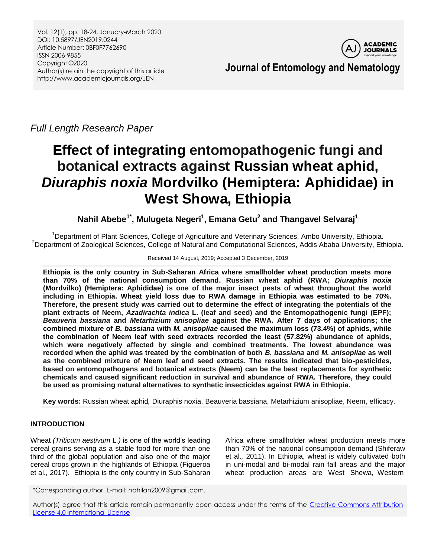Vol. 12(1), pp. 18-24, January-March 2020 DOI: 10.5897/JEN2019.0244 Article Number: 0BF0F7762690 ISSN 2006-9855 Copyright ©2020 Author(s) retain the copyright of this article http://www.academicjournals.org/JEN



**Journal of Entomology and Nematology**

*Full Length Research Paper*

# **Effect of integrating entomopathogenic fungi and botanical extracts against Russian wheat aphid,**  *Diuraphis noxia* **Mordvilko (Hemiptera: Aphididae) in West Showa, Ethiopia**

**Nahil Abebe1\* , Mulugeta Negeri<sup>1</sup> , Emana Getu<sup>2</sup> and Thangavel Selvaraj<sup>1</sup>**

<sup>1</sup>Department of Plant Sciences, College of Agriculture and Veterinary Sciences, Ambo University, Ethiopia. <sup>2</sup>Department of Zoological Sciences, College of Natural and Computational Sciences, Addis Ababa University, Ethiopia.

## Received 14 August, 2019; Accepted 3 December, 2019

**Ethiopia is the only country in Sub-Saharan Africa where smallholder wheat production meets more than 70% of the national consumption demand. Russian wheat aphid (RWA;** *Diuraphis noxia*  **(Mordvilko) (Hemiptera: Aphididae) is one of the major insect pests of wheat throughout the world including in Ethiopia. Wheat yield loss due to RWA damage in Ethiopia was estimated to be 70%. Therefore, the present study was carried out to determine the effect of integrating the potentials of the plant extracts of Neem,** *Azadirachta indica* **L. (leaf and seed) and the Entomopathogenic fungi (EPF);**  *Beauveria bassiana* **and** *Metarhizium anisopliae* **against the RWA. After 7 days of applications; the combined mixture of** *B. bassiana* **with** *M. anisopliae* **caused the maximum loss (73.4%) of aphids, while the combination of Neem leaf with seed extracts recorded the least (57.82%) abundance of aphids, which were negatively affected by single and combined treatments. The lowest abundance was recorded when the aphid was treated by the combination of both** *B. bassiana* **and** *M. anisopliae* **as well as the combined mixture of Neem leaf and seed extracts. The results indicated that bio-pesticides, based on entomopathogens and botanical extracts (Neem) can be the best replacements for synthetic chemicals and caused significant reduction in survival and abundance of RWA. Therefore, they could be used as promising natural alternatives to synthetic insecticides against RWA in Ethiopia.** 

**Key words:** Russian wheat aphid*,* Diuraphis noxia, Beauveria bassiana, Metarhizium anisopliae, Neem, efficacy.

# **INTRODUCTION**

Wheat *(Triticum aestivum* L*.)* is one of the world's leading cereal grains serving as a stable food for more than one third of the global population and also one of the major cereal crops grown in the highlands of Ethiopia (Figueroa et al., 2017). Ethiopia is the only country in Sub-Saharan

Africa where smallholder wheat production meets more than 70% of the national consumption demand (Shiferaw et al.*,* 2011). In Ethiopia, wheat is widely cultivated both in uni-modal and bi-modal rain fall areas and the major wheat production areas are West Shewa, Western

\*Corresponding author. E-mail: nahilan2009@gmail.com.

Author(s) agree that this article remain permanently open access under the terms of the Creative Commons Attribution [License 4.0 International License](http://creativecommons.org/licenses/by/4.0/deed.en_US)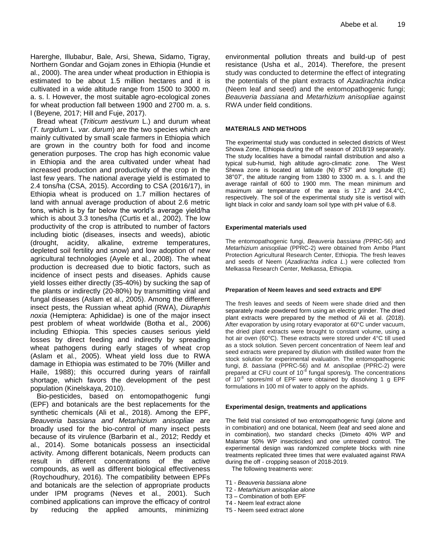Harerghe, Illubabur, Bale, Arsi, Shewa, Sidamo, Tigray, Northern Gondar and Gojam zones in Ethiopia (Hundie et al., 2000). The area under wheat production in Ethiopia is estimated to be about 1.5 million hectares and it is cultivated in a wide altitude range from 1500 to 3000 m. a. s. l. However, the most suitable agro-ecological zones for wheat production fall between 1900 and 2700 m. a. s. l (Beyene*,* 2017; Hill and Fuje, 2017).

Bread wheat (*Triticum aestivum* L.) and durum wheat (*T. turgidum* L. *var. durum*) are the two species which are mainly cultivated by small scale farmers in Ethiopia which are grown in the country both for food and income generation purposes. The crop has high economic value in Ethiopia and the area cultivated under wheat had increased production and productivity of the crop in the last few years. The national average yield is estimated to 2.4 tons/ha (CSA, 2015). According to CSA (2016/17), in Ethiopia wheat is produced on 1.7 million hectares of land with annual average production of about 2.6 metric tons, which is by far below the world's average yield/ha which is about 3.3 tones/ha (Curtis et al., 2002). The low productivity of the crop is attributed to number of factors including biotic (diseases, insects and weeds), abiotic (drought, acidity, alkaline, extreme temperatures, depleted soil fertility and snow) and low adoption of new agricultural technologies (Ayele et al., 2008). The wheat production is decreased due to biotic factors, such as incidence of insect pests and diseases. Aphids cause yield losses either directly (35-40%) by sucking the sap of the plants or indirectly (20-80%) by transmitting viral and fungal diseases (Aslam et al., 2005). Among the different insect pests, the Russian wheat aphid (RWA), *Diuraphis noxia* (Hemiptera: Aphididae) is one of the major insect pest problem of wheat worldwide (Botha et al.*,* 2006) including Ethiopia. This species causes serious yield losses by direct feeding and indirectly by spreading wheat pathogens during early stages of wheat crop (Aslam et al., 2005). Wheat yield loss due to RWA damage in Ethiopia was estimated to be 70% (Miller and Haile, 1988); this occurred during years of rainfall shortage, which favors the development of the pest population (Kinelskaya, 2010).

Bio-pesticides, based on entomopathogenic fungi (EPF) and botanicals are the best replacements for the synthetic chemicals (Ali et al.*,* 2018). Among the EPF, *Beauveria bassiana and Metarhizium anisopliae* are broadly used for the bio-control of many insect pests because of its virulence (Barbarin et al.*,* 2012; Reddy et al., 2014). Some botanicals possess an insecticidal activity. Among different botanicals, Neem products can result in different concentrations of the active compounds, as well as different biological effectiveness (Roychoudhury, 2016). The compatibility between EPFs and botanicals are the selection of appropriate products under IPM programs (Neves et al., 2001). Such combined applications can improve the efficacy of control by reducing the applied amounts, minimizing

environmental pollution threats and build-up of pest resistance (Usha et al.*,* 2014). Therefore, the present study was conducted to determine the effect of integrating the potentials of the plant extracts of *Azadirachta indica* (Neem leaf and seed) and the entomopathogenic fungi; *Beauveria bassiana* and *Metarhizium anisopliae* against RWA under field conditions.

#### **MATERIALS AND METHODS**

The experimental study was conducted in selected districts of West Showa Zone, Ethiopia during the off season of 2018/19 separately. The study localities have a bimodal rainfall distribution and also a typical sub-humid, high altitude agro-climatic zone. The West Shewa zone is located at latitude (N) 8°57' and longitude (E) 38°07', the altitude ranging from 1380 to 3300 m. a. s. l. and the average rainfall of 600 to 1900 mm. The mean minimum and maximum air temperature of the area is 17.2 and 24.4°C, respectively. The soil of the experimental study site is vertisol with light black in color and sandy loam soil type with pH value of 6.8.

#### **Experimental materials used**

The entomopathogenic fungi, *Beauveria bassiana (*PPRC-56) and *Metarhizium anisopliae* (PPRC-2) were obtained from Ambo Plant Protection Agricultural Research Center, Ethiopia. The fresh leaves and seeds of Neem (*Azadirachta indica L*.) were collected from Melkassa Research Center, Melkassa, Ethiopia.

#### **Preparation of Neem leaves and seed extracts and EPF**

The fresh leaves and seeds of Neem were shade dried and then separately made powdered form using an electric grinder. The dried plant extracts were prepared by the method of Ali et al. (2018). After evaporation by using rotary evaporator at 60°C under vacuum, the dried plant extracts were brought to constant volume, using a hot air oven (60°C). These extracts were stored under 4°C till used as a stock solution. Seven percent concentration of Neem leaf and seed extracts were prepared by dilution with distilled water from the stock solution for experimental evaluation. The entomopathogenic fungi, *B. bassiana* (PPRC-56) and *M. anisopliae* (PPRC-2) were prepared at CFU count of 10<sup>-8</sup> fungal spores/g. The concentrations of  $10^{-8}$  spores/ml of EPF were obtained by dissolving 1 g EPF formulations in 100 ml of water to apply on the aphids.

#### **Experimental design, treatments and applications**

The field trial consisted of two entomopathogenic fungi (alone and in combination) and one botanical, Neem (leaf and seed alone and in combination), two standard checks (Dimeto 40% WP and Malamar 50% WP insecticides) and one untreated control. The experimental design was randomized complete blocks with nine treatments replicated three times that were evaluated against RWA during the off - cropping season of 2018-2019. The following treatments were:

- 
- T1 *Beauveria bassiana alone* T2 - *Metarhizium anisopliae alone*
- T3 Combination of both EPF
- T4 Neem leaf extract alone
- T5 Neem seed extract alone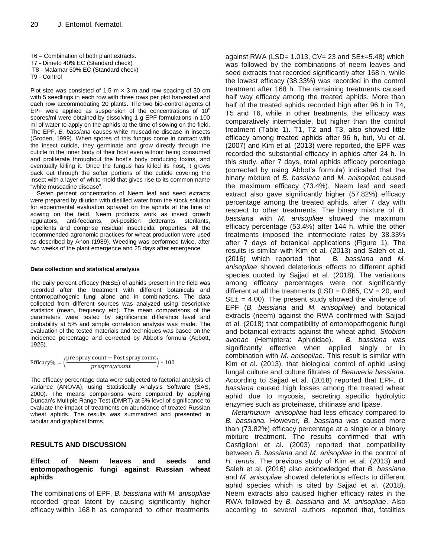T6 – Combination of both plant extracts. T7 **-** Dimeto 40% EC (Standard check) T8 - Malamar 50% EC (Standard check) T9 - Control

Plot size was consisted of 1.5 m  $\times$  3 m and row spacing of 30 cm with 5 seedlings in each row with three rows per plot harvested and each row accommodating 20 plants. The two bio-control agents of EPF were applied as suspension of the concentrations of  $10^8$ spores/ml were obtained by dissolving 1 g EPF formulations in 100 ml of water to apply on the aphids at the time of sowing on the field. The EPF, *B. bassiana* causes white muscadine disease in insects (Groden, 1999). When spores of this fungus come in contact with the insect cuticle, they germinate and grow directly through the cuticle to the inner body of their host even without being consumed and proliferate throughout the host's body producing toxins, and eventually killing it. Once the fungus has killed its host, it grows back out through the softer portions of the cuticle covering the insect with a layer of white mold that gives rise to its common name "white muscadine disease".

Seven percent concentration of Neem leaf and seed extracts were prepared by dilution with distilled water from the stock solution for experimental evaluation sprayed on the aphids at the time of sowing on the field. Neem products work as insect growth regulators, anti-feedants, ovi-position detterants, sterilants, repellents and comprise residual insecticidal properties. All the recommended agronomic practices for wheat production were used as described by Anon (1989). Weeding was performed twice, after two weeks of the plant emergence and 25 days after emergence.

#### **Data collection and statistical analysis**

The daily percent efficacy (N±SE) of aphids present in the field was recorded after the treatment with different botanicals and entomopathogenic fungi alone and in combinations. The data collected from different sources was analyzed using descriptive statistics (mean, frequency etc). The mean comparisons of the parameters were tested by significance difference level and probability at 5% and simple correlation analysis was made. The evaluation of the tested materials and techniques was based on the incidence percentage and corrected by Abbot's formula (Abbott, 1925).

$$
Efficacy\% = \left(\frac{\text{pre spray count} - \text{Post spray count}}{\text{prespraycount}}\right) * 100
$$

The efficacy percentage data were subjected to factorial analysis of variance (ANOVA), using Statistically Analysis Software (SAS, 2000). The means comparisons were compared by applying Duncan's Multiple Range Test (DMRT) at 5% level of significance to evaluate the impact of treatments on abundance of treated Russian wheat aphids. The results was summarized and presented in tabular and graphical forms.

## **RESULTS AND DISCUSSION**

## **Effect of Neem leaves and seeds and entomopathogenic fungi against Russian wheat aphids**

The combinations of EPF, *B. bassiana* with *M. anisopliae*  recorded great latent by causing significantly higher efficacy within 168 h as compared to other treatments

against RWA (LSD= 1.013,  $CV = 23$  and  $SE_{\pm} = 5.48$ ) which was followed by the combinations of neem leaves and seed extracts that recorded significantly after 168 h, while the lowest efficacy (38.33%) was recorded in the control treatment after 168 h. The remaining treatments caused half way efficacy among the treated aphids. More than half of the treated aphids recorded high after 96 h in T4, T5 and T6, while in other treatments, the efficacy was comparatively intermediate, but higher than the control treatment (Table 1). T1, T2 and T3, also showed little efficacy among treated aphids after 96 h, but, Vu et al. (2007) and Kim et al. (2013) were reported, the EPF was recorded the substantial efficacy in aphids after 24 h. In this study, after 7 days, total aphids efficacy percentage (corrected by using Abbot's formula) indicated that the binary mixture of *B. bassiana* and *M. anisopliae* caused the maximum efficacy (73.4%). Neem leaf and seed extract also gave significantly higher (57.82%) efficacy percentage among the treated aphids, after 7 day with respect to other treatments. The binary mixture of *B. bassiana* with *M. anisopliae* showed the maximum efficacy percentage (53.4%) after 144 h, while the other treatments imposed the intermediate rates by 38.33% after 7 days of botanical applications (Figure 1). The results is similar with Kim et al. (2013) and Saleh et al. (2016) which reported that *B. bassiana* and *M. anisopliae* showed deleterious effects to different aphid species quoted by Sajjad et al. (2018). The variations among efficacy percentages were not significantly different at all the treatments (LSD =  $0.865$ , CV = 20, and  $SE_{\pm}$  = 4.00). The present study showed the virulence of EPF (*B. bassiana* and *M. anisopliae*) and botanical extracts (neem) against the RWA confirmed with Sajjad et al. (2018) that compatibility of entomopathogenic fungi and botanical extracts against the wheat aphid, *Sitobion avenae* (Hemiptera: Aphididae). *B. bassiana* was significantly effective when applied singly or in combination with *M. anisopliae*. This result is similar with Kim et al. (2013), that biological control of aphid using fungal culture and culture filtrates of *Beauveria bassiana*. According to Sajjad et al. (2018) reported that EPF, *B. bassiana* caused high losses among the treated wheat aphid due to mycosis, secreting specific hydrolytic enzymes such as proteinase, chitinase and lipase.

*Metarhizium anisopliae* had less efficacy compared to *B. bassiana.* However, *B. bassiana was* caused more than (73.82%) efficacy percentage at a single or a binary mixture treatment. The results confirmed that with Castiglioni et al. (2003) reported that compatibility between *B. bassiana* and *M. anisopliae* in the control of *H. tenuis*. The previous study of Kim et al. (2013) and Saleh et al. (2016) also acknowledged that *B. bassiana* and *M. anisopliae* showed deleterious effects to different aphid species which is cited by Sajjad et al. (2018). Neem extracts also caused higher efficacy rates in the RWA followed by *B. bassiana* and *M. anisopliae*. Also according to several authors reported that, fatalities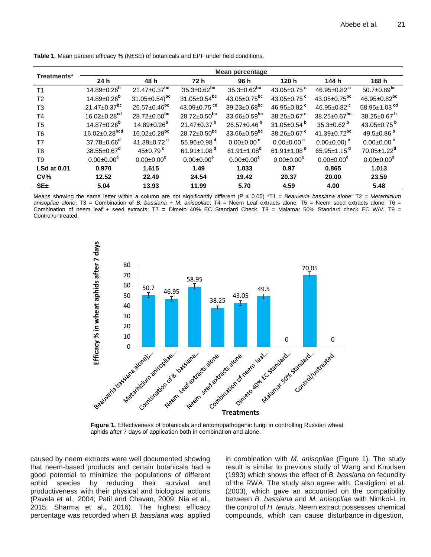| Treatments*        | Mean percentage                |                                |                                |                                |                               |                                |                                |  |  |  |
|--------------------|--------------------------------|--------------------------------|--------------------------------|--------------------------------|-------------------------------|--------------------------------|--------------------------------|--|--|--|
|                    | 24 h                           | 48 h                           | 72 h                           | 96 h                           | 120 h                         | 144 h                          | 168 h                          |  |  |  |
| T <sub>1</sub>     | $14.89 \pm 0.26$ <sup>b</sup>  | $21.47\pm0.37$ <sup>bc</sup>   | $35.3 \pm 0.62$ <sup>bc</sup>  | $35.3 \pm 0.62$ <sup>bc</sup>  | 43.05 $\pm$ 0.75 $\degree$    | 46.95 $\pm$ 0.82 $\degree$     | $50.7 \pm 0.89^{bc}$           |  |  |  |
| T <sub>2</sub>     | $14.89 \pm 0.26^{\rm b}$       | $31.05 \pm 0.54$ <sup>bc</sup> | $31.05 \pm 0.54$ <sup>bc</sup> | $43.05 \pm 0.75$ <sup>bc</sup> | 43.05 $\pm$ 0.75 $\degree$    | $43.05 \pm 0.75$ <sup>bc</sup> | 46.95 $\pm$ 0.82 <sup>bc</sup> |  |  |  |
| T <sub>3</sub>     | $21.47 \pm 0.37$ <sup>bc</sup> | $26.57 \pm 0.46$ <sup>bc</sup> | 43.09 $\pm$ 0.75 <sup>cd</sup> | $39.23 \pm 0.68$ <sup>bc</sup> | 46.95±0.82 <sup>c</sup>       | 46.95±0.82 <sup>c</sup>        | 58.95±1.03 <sup>cd</sup>       |  |  |  |
| T4                 | $16.02 \pm 0.28$ <sup>cd</sup> | $28.72 \pm 0.50^{bc}$          | $28.72 \pm 0.50^{bc}$          | $33.66 \pm 0.59$ <sup>bc</sup> | 38.25±0.67 <sup>c</sup>       | $38.25 \pm 0.67$ <sup>bc</sup> | 38.25±0.67 <sup>b</sup>        |  |  |  |
| T <sub>5</sub>     | $14.87 \pm 0.26^{\rm b}$       | $14.89 \pm 0.26^{\rm b}$       | $21.47 \pm 0.37$ <sup>b</sup>  | $26.57 \pm 0.46^{\mathrm{b}}$  | 31.05 $\pm$ 0.54 $^{\rm b}$   | $35.3 \pm 0.62^{\mathrm{b}}$   | 43.05 $\pm$ 0.75 <sup>b</sup>  |  |  |  |
| T <sub>6</sub>     | $16.02 \pm 0.28^{bcd}$         | $16.02 \pm 0.28$ <sup>bc</sup> | $28.72 \pm 0.50^{bc}$          | 33.66±0.59 <sup>bc</sup>       | 38.26 $\pm$ 0.67 $\degree$    | $41.39 \pm 0.72$ <sup>bc</sup> | 49.5 $\pm$ 0.86 $^{\rm b}$     |  |  |  |
| T7                 | $37.78 \pm 0.66^d$             | 41.39±0.72 <sup>c</sup>        | 55.96 $\pm$ 0.98 $^{\text{d}}$ | $0.00 \pm 0.00$ <sup>e</sup>   | $0.00 \pm 0.00$ <sup>e</sup>  | $0.00 \pm 0.00$ ) <sup>e</sup> | $0.00 \pm 0.00$ <sup>e</sup>   |  |  |  |
| T8                 | $38.55 \pm 0.67^d$             | $45\pm0.79$ <sup>c</sup>       | 61.91 $\pm$ 1.08 <sup>d</sup>  | $61.91 \pm 1.08^{\circ}$       | 61.91 $\pm$ 1.08 <sup>d</sup> | $65.95 \pm 1.15$ <sup>a</sup>  | 70.05±1.22 <sup>d</sup>        |  |  |  |
| T <sub>9</sub>     | $0.00 \pm 0.00^e$              | $0.00 \pm 0.00^e$              | $0.00 \pm 0.00^e$              | $0.00 \pm 0.00^e$              | $0.00 \pm 0.00^e$             | $0.00 \pm 0.00^e$              | $0.00 \pm 0.00^e$              |  |  |  |
| <b>LSd at 0.01</b> | 0.970                          | 1.615                          | 1.49                           | 1.033                          | 0.97                          | 0.865                          | 1.013                          |  |  |  |
| CV <sub>0</sub>    | 12.52                          | 22.49                          | 24.54                          | 19.42                          | 20.37                         | 20.00                          | 23.59                          |  |  |  |
| $SE_{\pm}$         | 5.04                           | 13.93                          | 11.99                          | 5.70                           | 4.59                          | 4.00                           | 5.48                           |  |  |  |

**Table 1.** Mean percent efficacy % (N±SE) of botanicals and EPF under field conditions.

Means showing the same letter within a column are not significantly different (P ≤ 0.05) \*T1 = *Beauveria bassiana alone*; T2 = *Metarhizium anisopliae alone*; T3 = Combination of *B. bassiana + M. anisopliae*; T4 = Neem Leaf extracts alone; T5 = Neem seed extracts alone; T6 = Combination of neem leaf + seed extracts; T7 **=** Dimeto 40% EC Standard Check, T8 = Malamar 50% Standard check EC W/V, T9 = Control/untreated.



aphids after 7 days of application both in combination and alone.

caused by neem extracts were well documented showing that neem-based products and certain botanicals had a good potential to minimize the populations of different aphid species by reducing their survival and productiveness with their physical and biological actions (Pavela et al.*,* 2004; Patil and Chavan, 2009; Nia et al.*,* 2015; Sharma et al., 2016). The highest efficacy percentage was recorded when *B. bassiana* was applied in combination with *M. anisopliae* (Figure 1). The study result is similar to previous study of Wang and Knudsen (1993) which shows the effect of *B. bassiana* on fecundity of the RWA. The study also agree with, Castiglioni et al. (2003), which gave an accounted on the compatibility between *B. bassiana* and *M. anisopliae* with Nimkol-L in the control of *H. tenuis*. Neem extract possesses chemical compounds, which can cause disturbance in digestion,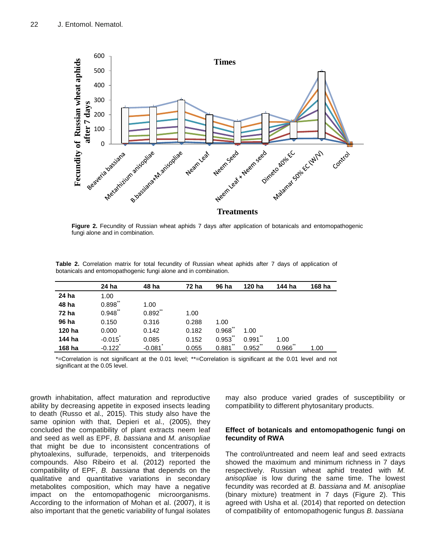

**Figure 2.** Fecundity of Russian wheat aphids 7 days after application of botanicals and entomopathogenic fungi alone and in combination.

**Table 2.** Correlation matrix for total fecundity of Russian wheat aphids after 7 days of application of botanicals and entomopathogenic fungi alone and in combination.

|        | 24 ha          | 48 ha      | 72 ha | 96 ha          | 120 ha         | 144 ha      | 168 ha |
|--------|----------------|------------|-------|----------------|----------------|-------------|--------|
| 24 ha  | 1.00           |            |       |                |                |             |        |
| 48 ha  | $***$<br>0.898 | 1.00       |       |                |                |             |        |
| 72 ha  | **<br>0.948    | $0.892$ ** | 1.00  |                |                |             |        |
| 96 ha  | 0.150          | 0.316      | 0.288 | 1.00           |                |             |        |
| 120 ha | 0.000          | 0.142      | 0.182 | $***$<br>0.968 | 1.00           |             |        |
| 144 ha | $-0.015$       | 0.085      | 0.152 | $***$<br>0.953 | 0.991          | 1.00        |        |
| 168 ha | $-0.122$       | $-0.081$   | 0.055 | $***$<br>0.881 | $***$<br>0.952 | **<br>0.966 | 1.00   |

\*=Correlation is not significant at the 0.01 level; \*\*=Correlation is significant at the 0.01 level and not significant at the 0.05 level.

growth inhabitation, affect maturation and reproductive ability by decreasing appetite in exposed insects leading to death (Russo et al.*,* 2015). This study also have the same opinion with that, Depieri et al., (2005), they concluded the compatibility of plant extracts neem leaf and seed as well as EPF, *B. bassiana* and *M. anisopliae*  that might be due to inconsistent concentrations of phytoalexins, sulfurade, terpenoids, and triterpenoids compounds. Also Ribeiro et al. (2012) reported the compatibility of EPF, *B. bassiana* that depends on the qualitative and quantitative variations in secondary metabolites composition, which may have a negative impact on the entomopathogenic microorganisms. According to the information of Mohan et al. (2007), it is also important that the genetic variability of fungal isolates

may also produce varied grades of susceptibility or compatibility to different phytosanitary products.

## **Effect of botanicals and entomopathogenic fungi on fecundity of RWA**

The control/untreated and neem leaf and seed extracts showed the maximum and minimum richness in 7 days respectively. Russian wheat aphid treated with *M. anisopliae* is low during the same time. The lowest fecundity was recorded at *B. bassiana* and *M. anisopliae* (binary mixture) treatment in 7 days (Figure 2). This agreed with Usha et al. (2014) that reported on detection of compatibility of entomopathogenic fungus *B. bassiana*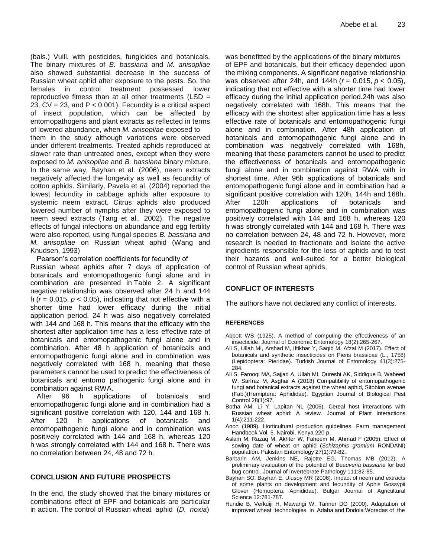(bals.) Vuill. with pesticides, fungicides and botanicals. The binary mixtures of *B. bassiana* and *M. anisopliae*  also showed substantial decrease in the success of Russian wheat aphid after exposure to the pests. So, the females in control treatment possessed lower reproductive fitness than at all other treatments ( $LSD =$ 23,  $CV = 23$ , and  $P < 0.001$ ). Fecundity is a critical aspect of insect population, which can be affected by entomopathogens and plant extracts as reflected in terms of lowered abundance, when *M. anisopliae* exposed to them in the study although variations were observed under different treatments. Treated aphids reproduced at slower rate than untreated ones, except when they were exposed to *M. anisopliae* and *B. bassiana* binary mixture. In the same way, Bayhan et al. (2006), neem extracts negatively affected the longevity as well as fecundity of cotton aphids. Similarly, Pavela et al. (2004) reported the lowest fecundity in cabbage aphids after exposure to systemic neem extract. Citrus aphids also produced lowered number of nymphs after they were exposed to neem seed extracts (Tang et al.*,* 2002). The negative effects of fungal infections on abundance and egg fertility were also reported, using fungal species *B. bassiana and M. anisopliae* on Russian wheat aphid (Wang and Knudsen, 1993)

Pearson's correlation coefficients for fecundity of Russian wheat aphids after 7 days of application of botanicals and entomopathogenic fungi alone and in combination are presented in [Table 2.](https://www.ncbi.nlm.nih.gov/pmc/articles/PMC4931424/table/insects-07-00012-t008/) A significant negative relationship was observed after 24 h and 144 h ( $r = 0.015$ ,  $p < 0.05$ ), indicating that not effective with a shorter time had lower efficacy during the initial application period. 24 h was also negatively correlated with 144 and 168 h. This means that the efficacy with the shortest after application time has a less effective rate of botanicals and entomopathogenic fungi alone and in combination. After 48 h application of botanicals and entomopathogenic fungi alone and in combination was negatively correlated with 168 h, meaning that these parameters cannot be used to predict the effectiveness of botanicals and entomo pathogenic fungi alone and in combination against RWA.

After 96 h applications of botanicals and entomopathogenic fungi alone and in combination had a significant positive correlation with 120, 144 and 168 h. After 120 h applications of botanicals and entomopathogenic fungi alone and in combination was positively correlated with 144 and 168 h, whereas 120 h was strongly correlated with 144 and 168 h. There was no correlation between 24, 48 and 72 h.

## **CONCLUSION AND FUTURE PROSPECTS**

In the end, the study showed that the binary mixtures or combinations effect of EPF and botanicals are particular in action. The control of Russian wheat aphid (*D. noxia*)

was benefitted by the applications of the binary mixtures of EPF and botanicals, but their efficacy depended upon the mixing components. A significant negative relationship was observed after 24h, and 144h (*r* = 0.015, *p* < 0.05), indicating that not effective with a shorter time had lower efficacy during the initial application period.24h was also negatively correlated with 168h. This means that the efficacy with the shortest after application time has a less effective rate of botanicals and entomopathogenic fungi alone and in combination. After 48h application of botanicals and entomopathogenic fungi alone and in combination was negatively correlated with 168h, meaning that these parameters cannot be used to predict the effectiveness of botanicals and entomopathogenic fungi alone and in combination against RWA with in shortest time. After 96h applications of botanicals and entomopathogenic fungi alone and in combination had a significant positive correlation with 120h, 144h and 168h. After 120h applications of botanicals and entomopathogenic fungi alone and in combination was positively correlated with 144 and 168 h, whereas 120 h was strongly correlated with 144 and 168 h. There was no correlation between 24, 48 and 72 h. However, more research is needed to fractionate and isolate the active ingredients responsible for the loss of aphids and to test their hazards and well-suited for a better biological control of Russian wheat aphids.

## **CONFLICT OF INTERESTS**

The authors have not declared any conflict of interests.

## **REFERENCES**

- Abbott WS (1925). A method of computing the effectiveness of an insecticide. Journal of Economic Entomology 18(2):265-267.
- Ali S, Ullah MI, Arshad M, Iftikhar Y, Saqib M, Afzal M (2017). Effect of botanicals and synthetic insecticides on Pieris brassicae (L., 1758) (Lepidoptera: Pieridae). Turkish Journal of Entomology 41(3):275- 284.
- Ali S, Farooqi MA, Sajjad A, Ullah MI, Qureshi AK, Siddique B, Waheed W, Sarfraz M, Asghar A (2018) Compatibility of entomopathogenic fungi and botanical extracts against the wheat aphid, Sitobion avenae (Fab.)(Hemiptera: Aphididae). Egyptian Journal of Biological Pest Control 28(1):97.
- Botha AM, Li Y, Lapitan NL (2006). Cereal host interactions with Russian wheat aphid: A review. Journal of Plant Interactions 1(4):211-222.
- Anon (1989). Horticultural production guidelines. Farm management Handbook Vol. 5. Nairobi, Kenya 220 p.
- Aslam M, Razaq M, Akhter W, Faheem M, Ahmad F (2005). Effect of sowing date of wheat on aphid (*Schizaphis gramium* RONDANI) population. Pakistan Entomology 27(1):79-82.
- Barbarin AM, Jenkins NE, Rajotte EG, Thomas MB (2012). A preliminary evaluation of the potential of *Beauveria bassiana* for bed bug control. Journal of Invertebrate Pathology 111:82-85.
- Bayhan SO, Bayhan E, Ulusoy MR (2006). Impact of neem and extracts of some plants on development and fecundity of Aphis Gossypii Glover (Homoptera: Aphididae). Bulgar Journal of Agricultural Science 12:781-787.
- Hundie B, Verkuiji H, Mawangi W, Tanner DG (2000). Adaptation of improved wheat technologies in Adaba and Dodola Woredas of the